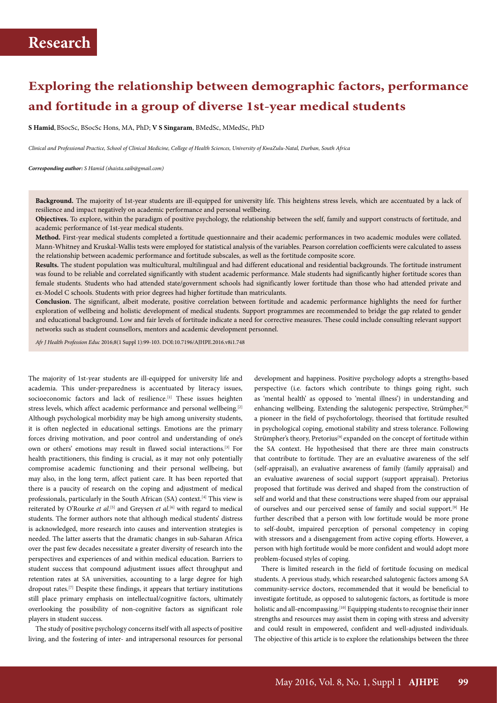# **Exploring the relationship between demographic factors, performance and fortitude in a group of diverse 1st-year medical students**

**S Hamid**,BSocSc, BSocSc Hons, MA, PhD; **V S Singaram**, BMedSc, MMedSc, PhD

*Clinical and Professional Practice, School of Clinical Medicine, College of Health Sciences, University of KwaZulu-Natal, Durban, South Africa*

*Corresponding author: S Hamid (shaista.saib@gmail.com)*

**Background.** The majority of 1st-year students are ill-equipped for university life. This heightens stress levels, which are accentuated by a lack of resilience and impact negatively on academic performance and personal wellbeing.

**Objectives.** To explore, within the paradigm of positive psychology, the relationship between the self, family and support constructs of fortitude, and academic performance of 1st-year medical students.

**Method.** First-year medical students completed a fortitude questionnaire and their academic performances in two academic modules were collated. Mann-Whitney and Kruskal-Wallis tests were employed for statistical analysis of the variables. Pearson correlation coefficients were calculated to assess the relationship between academic performance and fortitude subscales, as well as the fortitude composite score.

**Results.** The student population was multicultural, multilingual and had different educational and residential backgrounds. The fortitude instrument was found to be reliable and correlated significantly with student academic performance. Male students had significantly higher fortitude scores than female students. Students who had attended state/government schools had significantly lower fortitude than those who had attended private and ex-Model C schools. Students with prior degrees had higher fortitude than matriculants.

**Conclusion.** The significant, albeit moderate, positive correlation between fortitude and academic performance highlights the need for further exploration of wellbeing and holistic development of medical students. Support programmes are recommended to bridge the gap related to gender and educational background. Low and fair levels of fortitude indicate a need for corrective measures. These could include consulting relevant support networks such as student counsellors, mentors and academic development personnel.

*Afr J Health Profession Educ* 2016;8(1 Suppl 1):99-103. DOI:10.7196/AJHPE.2016.v8i1.748

The majority of 1st-year students are ill-equipped for university life and academia. This under-preparedness is accentuated by literacy issues, socioeconomic factors and lack of resilience.<sup>[1]</sup> These issues heighten stress levels, which affect academic performance and personal wellbeing.[2] Although psychological morbidity may be high among university students, it is often neglected in educational settings. Emotions are the primary forces driving motivation, and poor control and understanding of one's own or others' emotions may result in flawed social interactions.[3] For health practitioners, this finding is crucial, as it may not only potentially compromise academic functioning and their personal wellbeing, but may also, in the long term, affect patient care. It has been reported that there is a paucity of research on the coping and adjustment of medical professionals, particularly in the South African (SA) context.<sup>[4]</sup> This view is reiterated by O'Rourke *et al*.<sup>[5]</sup> and Greysen *et al*.<sup>[6]</sup> with regard to medical students. The former authors note that although medical students' distress is acknowledged, more research into causes and intervention strategies is needed. The latter asserts that the dramatic changes in sub-Saharan Africa over the past few decades necessitate a greater diversity of research into the perspectives and experiences of and within medical education. Barriers to student success that compound adjustment issues affect throughput and retention rates at SA universities, accounting to a large degree for high dropout rates.<sup>[7]</sup> Despite these findings, it appears that tertiary institutions still place primary emphasis on intellectual/cognitive factors, ultimately overlooking the possibility of non-cognitive factors as significant role players in student success.

The study of positive psychology concerns itself with all aspects of positive living, and the fostering of inter- and intrapersonal resources for personal

development and happiness. Positive psychology adopts a strengths-based perspective (i.e. factors which contribute to things going right, such as 'mental health' as opposed to 'mental illness') in understanding and enhancing wellbeing. Extending the salutogenic perspective, Strümpher,<sup>[8]</sup> a pioneer in the field of psychofortology, theorised that fortitude resulted in psychological coping, emotional stability and stress tolerance. Following Strümpher's theory, Pretorius<sup>[9]</sup> expanded on the concept of fortitude within the SA context. He hypothesised that there are three main constructs that contribute to fortitude. They are an evaluative awareness of the self (self-appraisal), an evaluative awareness of family (family appraisal) and an evaluative awareness of social support (support appraisal). Pretorius proposed that fortitude was derived and shaped from the construction of self and world and that these constructions were shaped from our appraisal of ourselves and our perceived sense of family and social support.[9] He further described that a person with low fortitude would be more prone to self-doubt, impaired perception of personal competency in coping with stressors and a disengagement from active coping efforts. However, a person with high fortitude would be more confident and would adopt more problem-focused styles of coping.

There is limited research in the field of fortitude focusing on medical students. A previous study, which researched salutogenic factors among SA community-service doctors, recommended that it would be beneficial to investigate fortitude, as opposed to salutogenic factors, as fortitude is more holistic and all-encompassing.<sup>[10]</sup> Equipping students to recognise their inner strengths and resources may assist them in coping with stress and adversity and could result in empowered, confident and well-adjusted individuals. The objective of this article is to explore the relationships between the three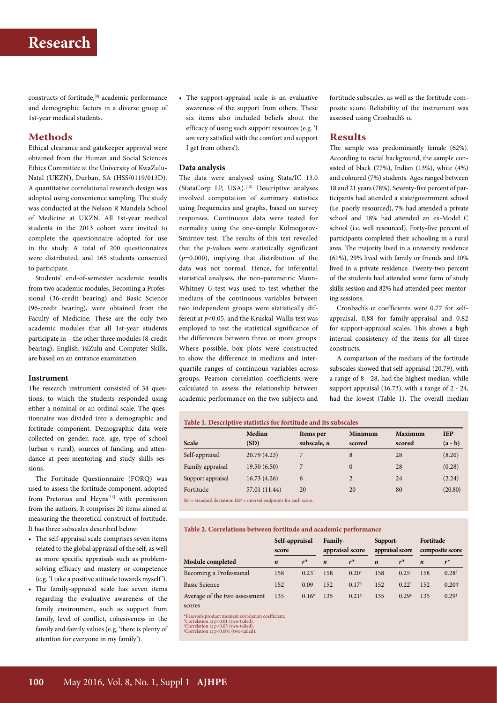constructs of fortitude,[9] academic performance and demographic factors in a diverse group of 1st-year medical students.

### **Methods**

Ethical clearance and gatekeeper approval were obtained from the Human and Social Sciences Ethics Committee at the University of KwaZulu-Natal (UKZN), Durban, SA (HSS/0119/013D). A quantitative correlational research design was adopted using convenience sampling. The study was conducted at the Nelson R Mandela School of Medicine at UKZN. All 1st-year medical students in the 2013 cohort were invited to complete the questionnaire adopted for use in the study. A total of 200 questionnaires were distributed, and 165 students consented to participate.

Students' end-of-semester academic results from two academic modules, Becoming a Professional (36-credit bearing) and Basic Science (96-credit bearing), were obtained from the Faculty of Medicine. These are the only two academic modules that all 1st-year students participate in – the other three modules (8-credit bearing), English, isiZulu and Computer Skills, are based on an entrance examination.

### **Instrument**

The research instrument consisted of 34 questions, to which the students responded using either a nominal or an ordinal scale. The questionnaire was divided into a demographic and fortitude component. Demographic data were collected on gender, race, age, type of school (urban v. rural), sources of funding, and attendance at peer-mentoring and study skills sessions.

The Fortitude Questionnaire (FORQ) was used to assess the fortitude component, adopted from Pretorius and Heyns<sup>[11]</sup> with permission from the authors. It comprises 20 items aimed at measuring the theoretical construct of fortitude. It has three subscales described below:

- The self-appraisal scale comprises seven items related to the global appraisal of the self, as well as more specific appraisals such as problemsolving efficacy and mastery or competence (e.g. 'I take a positive attitude towards myself ').
- The family-appraisal scale has seven items regarding the evaluative awareness of the family environment, such as support from family, level of conflict, cohesiveness in the family and family values (e.g. 'there is plenty of attention for everyone in my family').

• The support-appraisal scale is an evaluative awareness of the support from others. These six items also included beliefs about the efficacy of using such support resources (e.g. 'I am very satisfied with the comfort and support I get from others').

### **Data analysis**

The data were analysed using Stata/IC 13.0 (StataCorp LP, USA).[12] Descriptive analyses involved computation of summary statistics using frequencies and graphs, based on survey responses. Continuous data were tested for normality using the one-sample Kolmogorov-Smirnov test. The results of this test revealed that the *p*-values were statistically significant (*p*=0.000), implying that distribution of the data was not normal. Hence, for inferential statistical analyses, the non-parametric Mann-Whitney *U*-test was used to test whether the medians of the continuous variables between two independent groups were statistically different at *p*<0.05, and the Kruskal-Wallis test was employed to test the statistical significance of the differences between three or more groups. Where possible, box plots were constructed to show the difference in medians and interquartile ranges of continuous variables across groups. Pearson correlation coefficients were calculated to assess the relationship between academic performance on the two subjects and

fortitude subscales, as well as the fortitude composite score. Reliability of the instrument was assessed using Cronbach's α.

#### **Results**

The sample was predominantly female (62%). According to racial background, the sample consisted of black (77%), Indian (13%), white (4%) and coloured (7%) students. Ages ranged between 18 and 21 years (78%). Seventy-five percent of participants had attended a state/government school (i.e. poorly resourced), 7% had attended a private school and 18% had attended an ex-Model C school (i.e. well resourced). Forty-five percent of participants completed their schooling in a rural area. The majority lived in a university residence (61%), 29% lived with family or friends and 10% lived in a private residence. Twenty-two percent of the students had attended some form of study skills session and 82% had attended peer-mentoring sessions.

Cronbach's  $\alpha$  coefficients were 0.77 for selfappraisal, 0.88 for family-appraisal and 0.82 for support-appraisal scales. This shows a high internal consistency of the items for all three constructs.

A comparison of the medians of the fortitude subscales showed that self-appraisal (20.79), with a range of 8 - 28, had the highest median, while support appraisal (16.73), with a range of 2 - 24, had the lowest (Table 1). The overall median

| Table 1. Descriptive statistics for fortitude and its subscales     |               |               |                |         |            |  |  |  |  |
|---------------------------------------------------------------------|---------------|---------------|----------------|---------|------------|--|--|--|--|
|                                                                     | Median        | Items per     | Minimum        | Maximum | <b>IEP</b> |  |  |  |  |
| Scale                                                               | (SD)          | subscale, $n$ | scored         | scored  | $(a - b)$  |  |  |  |  |
| Self-appraisal                                                      | 20.79 (4.23)  | 7             | 8              | 28      | (8.20)     |  |  |  |  |
| Family appraisal                                                    | 19.50(6.50)   | 7             | $\Omega$       | 28      | (0.28)     |  |  |  |  |
| Support appraisal                                                   | 16.73(4.26)   | 6             | $\overline{2}$ | 24      | (2.24)     |  |  |  |  |
| Fortitude                                                           | 57.01 (11.44) | 20            | 20             | 80      | (20.80)    |  |  |  |  |
| $SD = standard deviation: IEP = interval endpoints for each score.$ |               |               |                |         |            |  |  |  |  |

SD = standard deviation; IEP = interval endpoints for each score.

#### **Table 2. Correlations between fortitude and academic performance**

|                               | Self-appraisal   |                   | <b>Family-</b>   |                   | Support-         |                   | Fortitude        |                 |
|-------------------------------|------------------|-------------------|------------------|-------------------|------------------|-------------------|------------------|-----------------|
|                               | score            |                   | appraisal score  |                   | appraisal score  |                   | composite score  |                 |
| Module completed              | $\boldsymbol{n}$ | $r^*$             | $\boldsymbol{n}$ | $r^*$             | $\boldsymbol{n}$ | $r^*$             | $\boldsymbol{n}$ | $r^*$           |
| Becoming a Professional       | 158              | $0.23^{\dagger}$  | 158              | $0.20^{*}$        | 158              | $0.25^{\dagger}$  | 158              | $0.28^{\circ}$  |
| <b>Basic Science</b>          | 152              | 0.09              | 152              | $0.17*$           | 152              | $0.22^+$          | 152              | $0.20 \ddagger$ |
| Average of the two assessment | 135              | $0.16^{\ddagger}$ | 135              | 0.21 <sup>6</sup> | 135              | 0.29 <sup>6</sup> | 135              | 0.29            |
| scores                        |                  |                   |                  |                   |                  |                   |                  |                 |

\*Pearson's product moment correlation coefficient. † Correlation at *p*<0.01 (two-tailed). ‡ Correlation at *p*<0.05 (two-tailed). § Correlation at *p*<0.001 (two-tailed).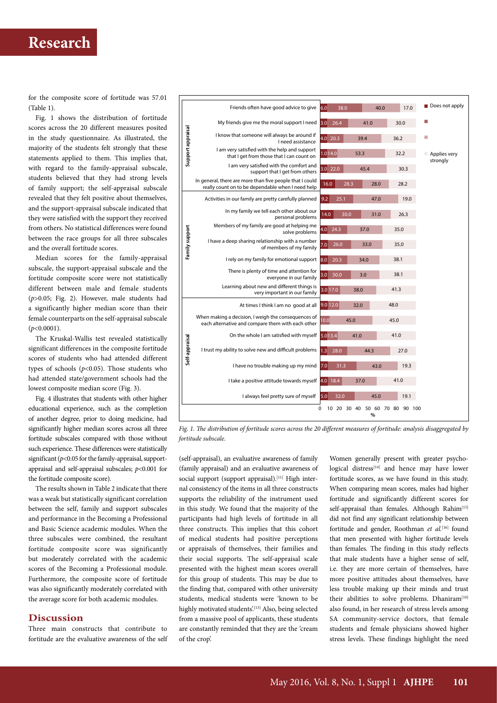# **Research**

for the composite score of fortitude was 57.01  $(Table 1)$ 

Fig. 1 shows the distribution of fortitude scores across the 20 different measures posited in the study questionnaire. As illustrated, the majority of the students felt strongly that these statements applied to them. This implies that, with regard to the family-appraisal subscale, students believed that they had strong levels of family support; the self-appraisal subscale revealed that they felt positive about themselves, and the support-appraisal subscale indicated that they were satisfied with the support they received from others. No statistical differences were found between the race groups for all three subscales and the overall fortitude scores.

Median scores for the family-appraisal subscale, the support-appraisal subscale and the fortitude composite score were not statistically different between male and female students (*p*>0.05; Fig. 2). However, male students had a significantly higher median score than their female counterparts on the self-appraisal subscale (*p*<0.0001).

The Kruskal-Wallis test revealed statistically significant differences in the composite fortitude scores of students who had attended different types of schools  $(p<0.05)$ . Those students who had attended state/government schools had the lowest composite median score (Fig. 3).

Fig. 4 illustrates that students with other higher educational experience, such as the completion of another degree, prior to doing medicine, had significantly higher median scores across all three fortitude subscales compared with those without such experience. These differences were statistically significant (*p*<0.05 for the family-appraisal, supportappraisal and self-appraisal subscales; *p*<0.001 for the fortitude composite score).

The results shown in Table 2 indicate that there was a weak but statistically significant correlation between the self, family and support subscales and performance in the Becoming a Professional and Basic Science academic modules. When the three subscales were combined, the resultant fortitude composite score was significantly but moderately correlated with the academic scores of the Becoming a Professional module. Furthermore, the composite score of fortitude was also significantly moderately correlated with the average score for both academic modules.

### **Discussion**

Three main constructs that contribute to fortitude are the evaluative awareness of the self



*Fig. 1. The distribution of fortitude scores across the 20 different measures of fortitude: analysis disaggregated by fortitude subscale.*

(self-appraisal), an evaluative awareness of family (family appraisal) and an evaluative awareness of social support (support appraisal).<sup>[11]</sup> High internal consistency of the items in all three constructs supports the reliability of the instrument used in this study. We found that the majority of the participants had high levels of fortitude in all three constructs. This implies that this cohort of medical students had positive perceptions or appraisals of themselves, their families and their social supports. The self-appraisal scale presented with the highest mean scores overall for this group of students. This may be due to the finding that, compared with other university students, medical students were 'known to be highly motivated students'.<sup>[13]</sup> Also, being selected from a massive pool of applicants, these students are constantly reminded that they are the 'cream of the crop'.

Women generally present with greater psychological distress<sup>[14]</sup> and hence may have lower fortitude scores, as we have found in this study. When comparing mean scores, males had higher fortitude and significantly different scores for self-appraisal than females. Although Rahim<sup>[15]</sup> did not find any significant relationship between fortitude and gender, Roothman et al.<sup>[16]</sup> found that men presented with higher fortitude levels than females. The finding in this study reflects that male students have a higher sense of self, i.e. they are more certain of themselves, have more positive attitudes about themselves, have less trouble making up their minds and trust their abilities to solve problems. Dhaniram<sup>[10]</sup> also found, in her research of stress levels among SA community-service doctors, that female students and female physicians showed higher stress levels. These findings highlight the need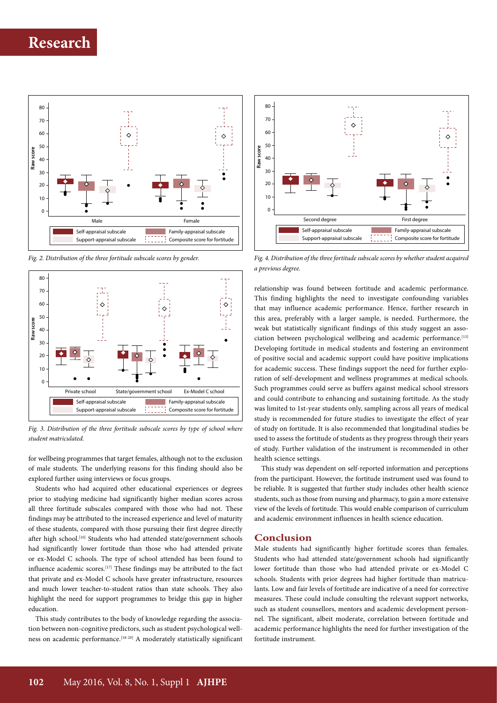

*Fig. 2. Distribution of the three fortitude subscale scores by gender.*



*Fig. 3. Distribution of the three fortitude subscale scores by type of school where student matriculated.*

for wellbeing programmes that target females, although not to the exclusion of male students. The underlying reasons for this finding should also be explored further using interviews or focus groups.

Students who had acquired other educational experiences or degrees prior to studying medicine had significantly higher median scores across all three fortitude subscales compared with those who had not. These findings may be attributed to the increased experience and level of maturity of these students, compared with those pursuing their first degree directly after high school.<sup>[10]</sup> Students who had attended state/government schools had significantly lower fortitude than those who had attended private or ex-Model C schools. The type of school attended has been found to influence academic scores.<sup>[17]</sup> These findings may be attributed to the fact that private and ex-Model C schools have greater infrastructure, resources and much lower teacher-to-student ratios than state schools. They also highlight the need for support programmes to bridge this gap in higher education.

This study contributes to the body of knowledge regarding the association between non-cognitive predictors, such as student psychological wellness on academic performance.<sup>[18-20]</sup> A moderately statistically significant



*Fig. 4. Distribution of the three fortitude subscale scores by whether student acquired a previous degree.*

relationship was found between fortitude and academic performance. This finding highlights the need to investigate confounding variables that may influence academic performance. Hence, further research in this area, preferably with a larger sample, is needed. Furthermore, the weak but statistically significant findings of this study suggest an association between psychological wellbeing and academic performance.<sup>[13]</sup> Developing fortitude in medical students and fostering an environment of positive social and academic support could have positive implications for academic success. These findings support the need for further exploration of self-development and wellness programmes at medical schools. Such programmes could serve as buffers against medical school stressors and could contribute to enhancing and sustaining fortitude. As the study was limited to 1st-year students only, sampling across all years of medical study is recommended for future studies to investigate the effect of year of study on fortitude. It is also recommended that longitudinal studies be used to assess the fortitude of students as they progress through their years of study. Further validation of the instrument is recommended in other health science settings.

This study was dependent on self-reported information and perceptions from the participant. However, the fortitude instrument used was found to be reliable. It is suggested that further study includes other health science students, such as those from nursing and pharmacy, to gain a more extensive view of the levels of fortitude. This would enable comparison of curriculum and academic environment influences in health science education.

## **Conclusion**

Male students had significantly higher fortitude scores than females. Students who had attended state/government schools had significantly lower fortitude than those who had attended private or ex-Model C schools. Students with prior degrees had higher fortitude than matriculants. Low and fair levels of fortitude are indicative of a need for corrective measures. These could include consulting the relevant support networks, such as student counsellors, mentors and academic development personnel. The significant, albeit moderate, correlation between fortitude and academic performance highlights the need for further investigation of the fortitude instrument.